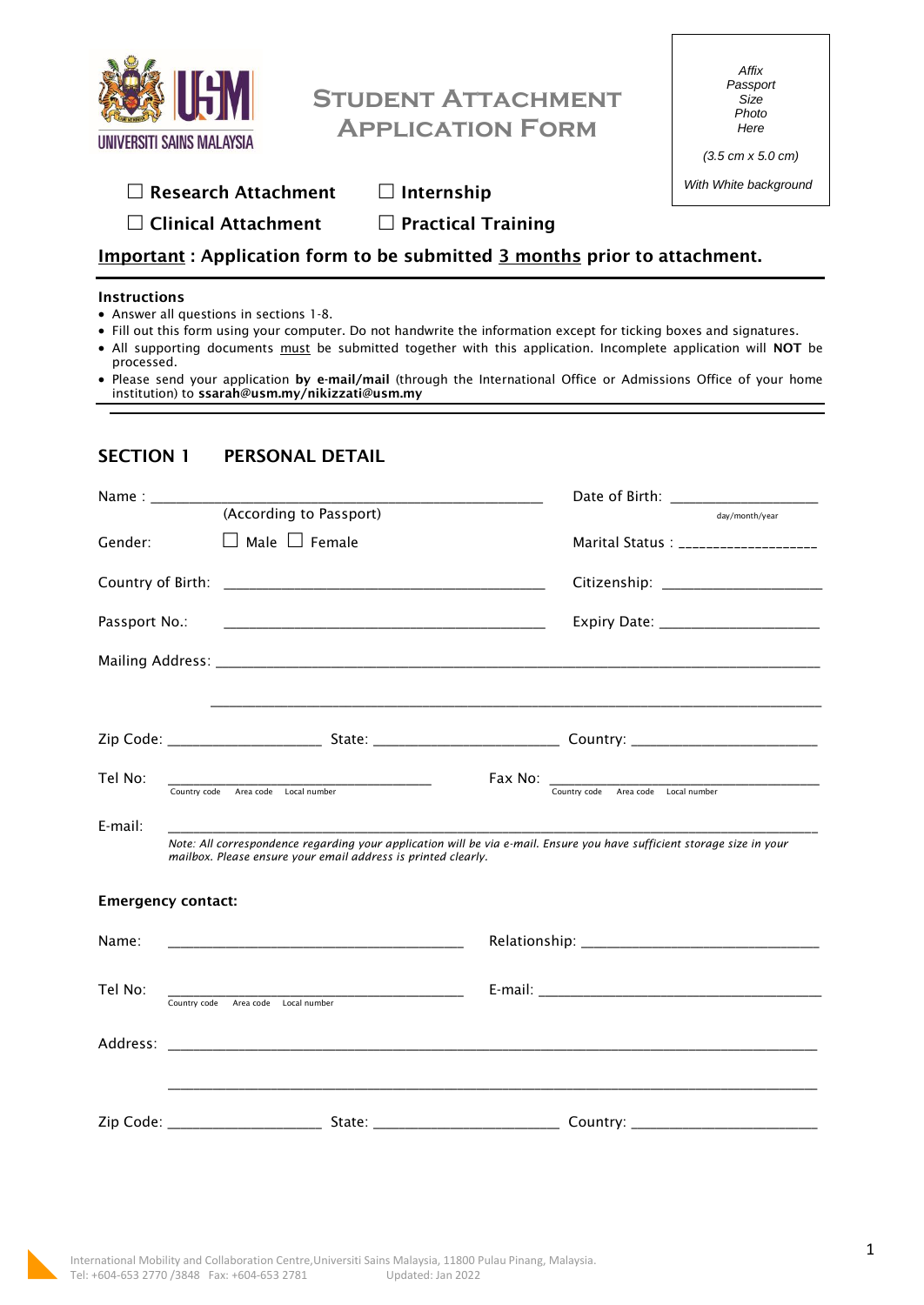| UNIVERSITI SAINS MALAYSIA                                                                                                                                                                           | $\Box$ Research Attachment                     | <b>STUDENT ATTACHMENT</b><br><b>APPLICATION FORM</b><br>$\Box$ Internship                                                                                                                                                                                                                                                                                   |                                                          | Affix<br>Passport<br>Size<br>Photo<br>Here<br>$(3.5 \text{ cm} \times 5.0 \text{ cm})$<br>With White background |  |
|-----------------------------------------------------------------------------------------------------------------------------------------------------------------------------------------------------|------------------------------------------------|-------------------------------------------------------------------------------------------------------------------------------------------------------------------------------------------------------------------------------------------------------------------------------------------------------------------------------------------------------------|----------------------------------------------------------|-----------------------------------------------------------------------------------------------------------------|--|
|                                                                                                                                                                                                     |                                                | $\Box$ Clinical Attachment $\Box$ Practical Training                                                                                                                                                                                                                                                                                                        |                                                          |                                                                                                                 |  |
| <b>Important:</b> Application form to be submitted 3 months prior to attachment.                                                                                                                    |                                                |                                                                                                                                                                                                                                                                                                                                                             |                                                          |                                                                                                                 |  |
| <b>Instructions</b><br>• Answer all questions in sections 1-8.<br>processed.                                                                                                                        | institution) to ssarah@usm.my/nikizzati@usm.my | • Fill out this form using your computer. Do not handwrite the information except for ticking boxes and signatures.<br>• All supporting documents must be submitted together with this application. Incomplete application will NOT be<br>. Please send your application by e-mail/mail (through the International Office or Admissions Office of your home |                                                          |                                                                                                                 |  |
| <b>SECTION 1</b>                                                                                                                                                                                    | PERSONAL DETAIL                                |                                                                                                                                                                                                                                                                                                                                                             |                                                          |                                                                                                                 |  |
| Name: _________                                                                                                                                                                                     | (According to Passport)                        |                                                                                                                                                                                                                                                                                                                                                             |                                                          | day/month/year                                                                                                  |  |
| Gender:                                                                                                                                                                                             | $\Box$ Male $\Box$ Female                      |                                                                                                                                                                                                                                                                                                                                                             |                                                          | Marital Status : ____________________                                                                           |  |
|                                                                                                                                                                                                     |                                                |                                                                                                                                                                                                                                                                                                                                                             |                                                          | Citizenship: ________________________                                                                           |  |
| Passport No.:                                                                                                                                                                                       |                                                |                                                                                                                                                                                                                                                                                                                                                             |                                                          | Expiry Date: _________________________                                                                          |  |
|                                                                                                                                                                                                     |                                                |                                                                                                                                                                                                                                                                                                                                                             |                                                          |                                                                                                                 |  |
| Zip Code:                                                                                                                                                                                           | State:                                         |                                                                                                                                                                                                                                                                                                                                                             | Country:                                                 |                                                                                                                 |  |
| Tel No:                                                                                                                                                                                             | Country code Area code Local number            |                                                                                                                                                                                                                                                                                                                                                             | Fax No: _________<br>Country code Area code Local number |                                                                                                                 |  |
| E-mail:<br>Note: All correspondence regarding your application will be via e-mail. Ensure you have sufficient storage size in your<br>mailbox. Please ensure your email address is printed clearly. |                                                |                                                                                                                                                                                                                                                                                                                                                             |                                                          |                                                                                                                 |  |
| <b>Emergency contact:</b>                                                                                                                                                                           |                                                |                                                                                                                                                                                                                                                                                                                                                             |                                                          |                                                                                                                 |  |
| Name:                                                                                                                                                                                               |                                                |                                                                                                                                                                                                                                                                                                                                                             |                                                          |                                                                                                                 |  |
| Tel No:                                                                                                                                                                                             | Country code Area code Local number            |                                                                                                                                                                                                                                                                                                                                                             |                                                          |                                                                                                                 |  |
| Address:                                                                                                                                                                                            |                                                |                                                                                                                                                                                                                                                                                                                                                             |                                                          |                                                                                                                 |  |
|                                                                                                                                                                                                     |                                                |                                                                                                                                                                                                                                                                                                                                                             |                                                          |                                                                                                                 |  |

 $\sqrt{ }$ 

٦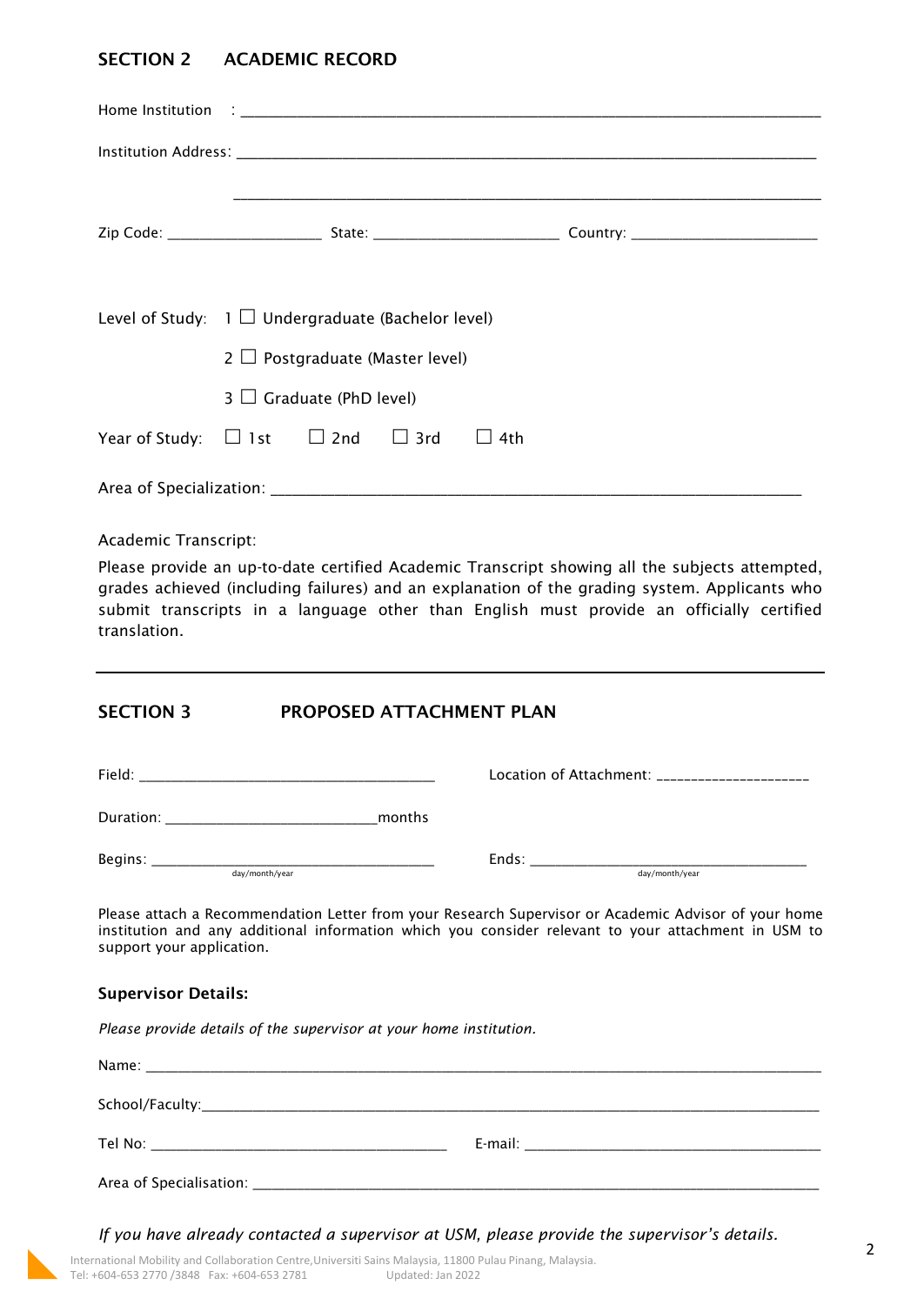# **SECTION 2 ACADEMIC RECORD**

|                                                            | Level of Study: $1 \square$ Undergraduate (Bachelor level)<br>$2 \Box$ Postgraduate (Master level) |                               |  |  |  |
|------------------------------------------------------------|----------------------------------------------------------------------------------------------------|-------------------------------|--|--|--|
|                                                            |                                                                                                    | $3 \Box$ Graduate (PhD level) |  |  |  |
| Year of Study: $\Box$ 1st $\Box$ 2nd $\Box$ 3rd $\Box$ 4th |                                                                                                    |                               |  |  |  |
|                                                            |                                                                                                    |                               |  |  |  |

Academic Transcript:

Please provide an up-to-date certified Academic Transcript showing all the subjects attempted, grades achieved (including failures) and an explanation of the grading system. Applicants who submit transcripts in a language other than English must provide an officially certified translation.

## **SECTION 3 PROPOSED ATTACHMENT PLAN**

| Field:                    | Location of Attachment: _____________________ |
|---------------------------|-----------------------------------------------|
| Duration:<br>months       |                                               |
| Begins:<br>day/month/year | Ends:<br>day/month/year                       |

Please attach a Recommendation Letter from your Research Supervisor or Academic Advisor of your home institution and any additional information which you consider relevant to your attachment in USM to support your application.

### **Supervisor Details:**

*Please provide details of the supervisor at your home institution.* 

*If you have already contacted a supervisor at USM, please provide the supervisor's details.*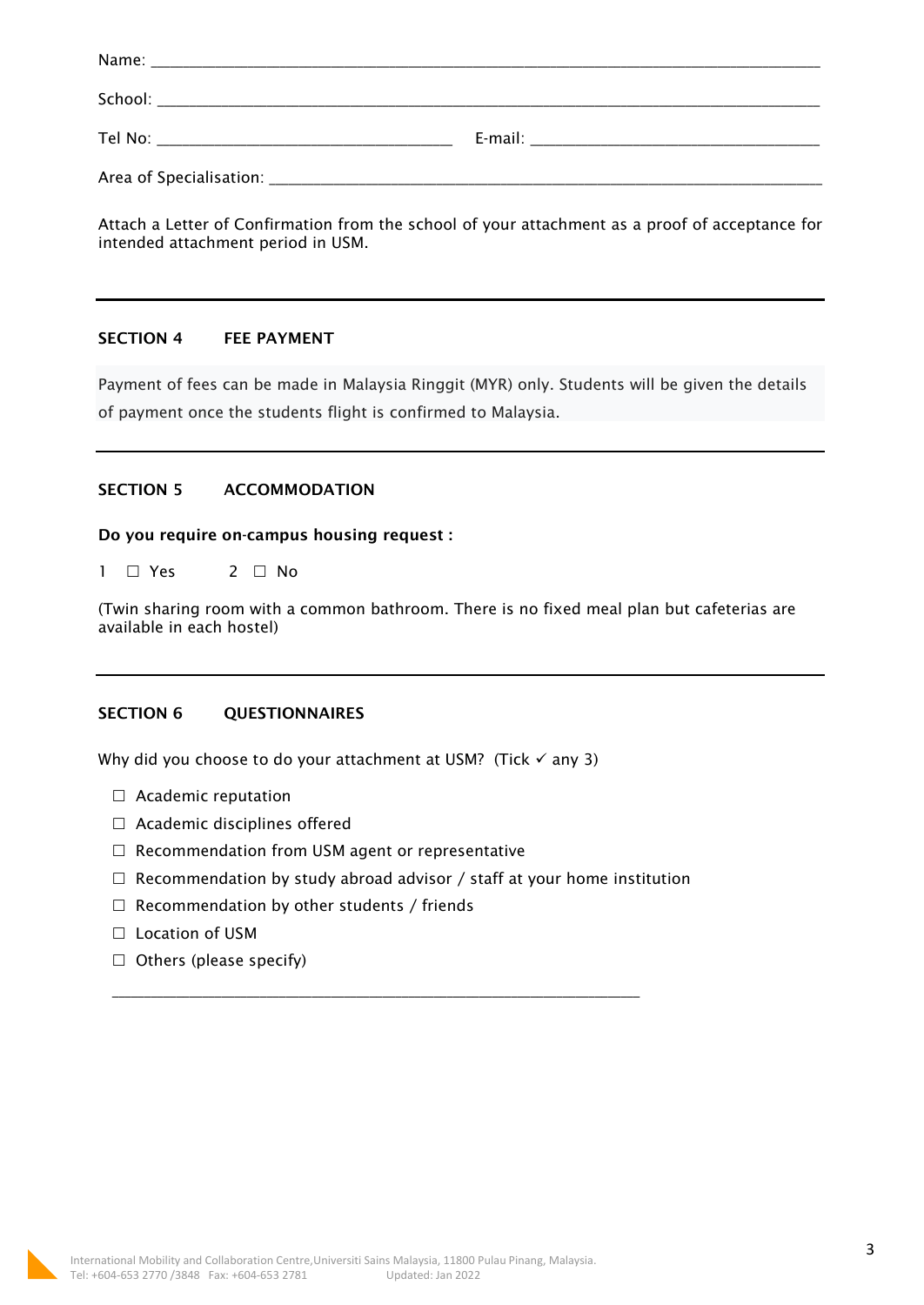Attach a Letter of Confirmation from the school of your attachment as a proof of acceptance for intended attachment period in USM.

### **SECTION 4 FEE PAYMENT**

Payment of fees can be made in Malaysia Ringgit (MYR) only. Students will be given the details of payment once the students flight is confirmed to Malaysia.

### **SECTION 5 ACCOMMODATION**

#### **Do you require on-campus housing request :**

 $1 \square Y$ es  $2 \square N$ o

(Twin sharing room with a common bathroom. There is no fixed meal plan but cafeterias are available in each hostel)

### **SECTION 6 QUESTIONNAIRES**

Why did you choose to do your attachment at USM? (Tick  $\checkmark$  any 3)

- □ Academic reputation
- $\Box$  Academic disciplines offered
- $\Box$  Recommendation from USM agent or representative
- $\Box$  Recommendation by study abroad advisor / staff at your home institution

\_\_\_\_\_\_\_\_\_\_\_\_\_\_\_\_\_\_\_\_\_\_\_\_\_\_\_\_\_\_\_\_\_\_\_\_\_\_\_\_\_\_\_\_\_\_\_\_\_\_\_\_\_\_\_\_\_\_\_\_\_\_\_\_\_\_\_\_\_\_\_\_\_\_\_\_\_\_\_\_\_\_

- $\Box$  Recommendation by other students / friends
- □ Location of USM
- $\Box$  Others (please specify)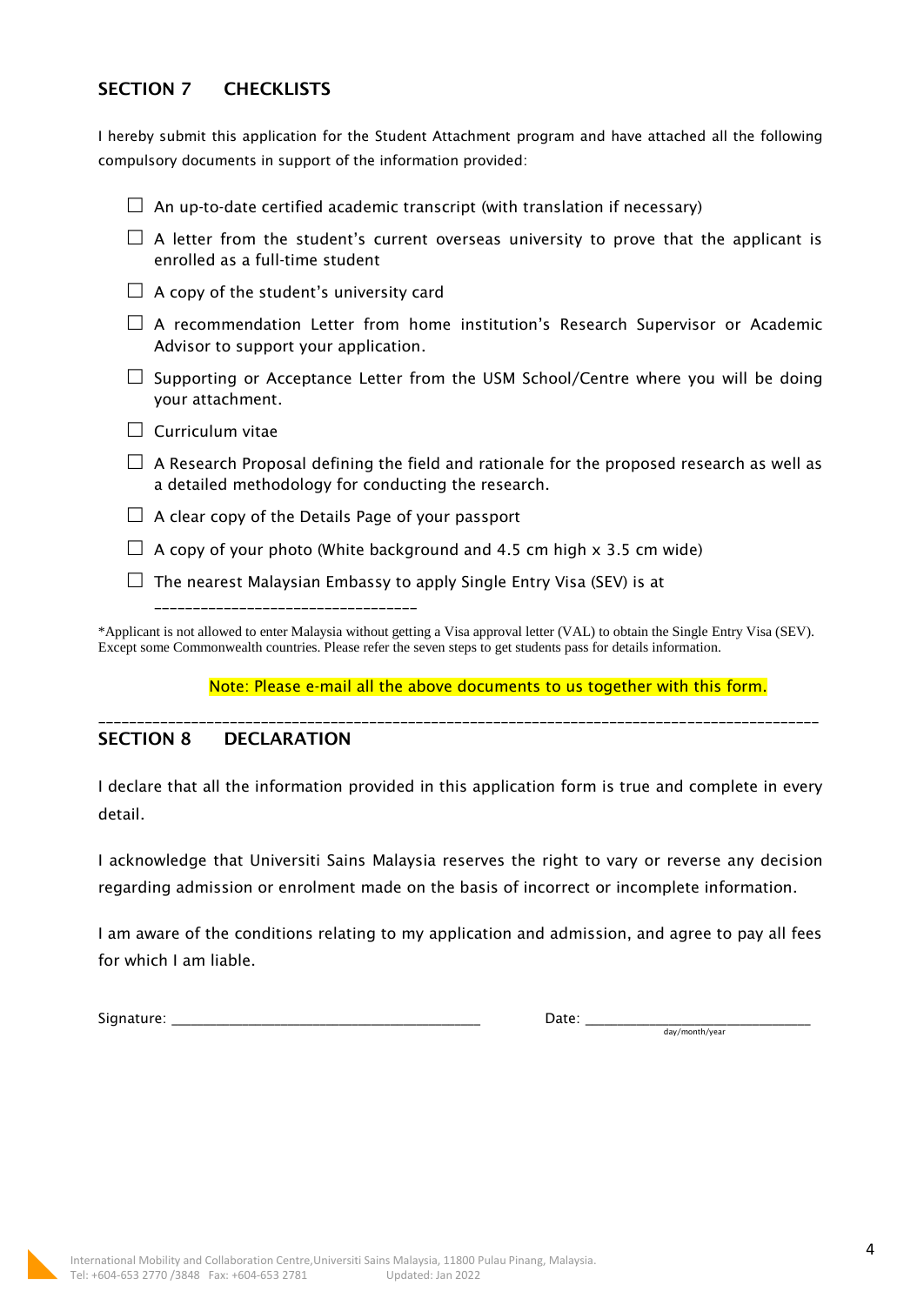# **SECTION 7 CHECKLISTS**

I hereby submit this application for the Student Attachment program and have attached all the following compulsory documents in support of the information provided:

|  | A letter from the student's current overseas university to prove that the applicant is<br>enrolled as a full-time student                                                                                                                                                         |
|--|-----------------------------------------------------------------------------------------------------------------------------------------------------------------------------------------------------------------------------------------------------------------------------------|
|  | A copy of the student's university card                                                                                                                                                                                                                                           |
|  | A recommendation Letter from home institution's Research Supervisor or Academic<br>Advisor to support your application.                                                                                                                                                           |
|  | Supporting or Acceptance Letter from the USM School/Centre where you will be doing<br>your attachment.                                                                                                                                                                            |
|  | Curriculum vitae                                                                                                                                                                                                                                                                  |
|  | A Research Proposal defining the field and rationale for the proposed research as well as<br>a detailed methodology for conducting the research.                                                                                                                                  |
|  | A clear copy of the Details Page of your passport                                                                                                                                                                                                                                 |
|  | A copy of your photo (White background and 4.5 cm high x 3.5 cm wide)                                                                                                                                                                                                             |
|  | The nearest Malaysian Embassy to apply Single Entry Visa (SEV) is at                                                                                                                                                                                                              |
|  | ____________________________<br>*Applicant is not allowed to enter Malaysia without getting a Visa approval letter (VAL) to obtain the Single Entry Visa (SEV).<br>Except some Commonwealth countries. Please refer the seven steps to get students pass for details information. |
|  |                                                                                                                                                                                                                                                                                   |

Note: Please e-mail all the above documents to us together with this form.

## **SECTION 8 DECLARATION**

I declare that all the information provided in this application form is true and complete in every detail.

\_\_\_\_\_\_\_\_\_\_\_\_\_\_\_\_\_\_\_\_\_\_\_\_\_\_\_\_\_\_\_\_\_\_\_\_\_\_\_\_\_\_\_\_\_\_\_\_\_\_\_\_\_\_\_\_\_\_\_\_\_\_\_\_\_\_\_\_\_\_\_\_\_\_\_\_\_\_\_\_\_\_\_\_\_\_\_\_\_\_\_\_\_

I acknowledge that Universiti Sains Malaysia reserves the right to vary or reverse any decision regarding admission or enrolment made on the basis of incorrect or incomplete information.

I am aware of the conditions relating to my application and admission, and agree to pay all fees for which I am liable.

Signature: \_\_\_\_\_\_\_\_\_\_\_\_\_\_\_\_\_\_\_\_\_\_\_\_\_\_\_\_\_\_\_\_\_\_\_\_\_\_\_\_\_\_\_\_\_\_\_\_ Date: \_\_\_\_\_\_\_\_\_\_\_\_\_\_\_\_\_\_\_\_\_\_\_\_\_\_\_\_\_\_\_\_\_\_\_

day/month/year